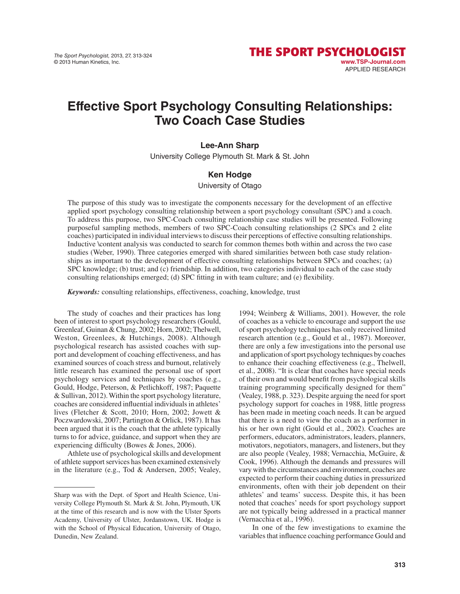# **Effective Sport Psychology Consulting Relationships: Two Coach Case Studies**

### **Lee-Ann Sharp**

University College Plymouth St. Mark & St. John

### **Ken Hodge**

#### University of Otago

The purpose of this study was to investigate the components necessary for the development of an effective applied sport psychology consulting relationship between a sport psychology consultant (SPC) and a coach. To address this purpose, two SPC-Coach consulting relationship case studies will be presented. Following purposeful sampling methods, members of two SPC-Coach consulting relationships (2 SPCs and 2 elite coaches) participated in individual interviews to discuss their perceptions of effective consulting relationships. Inductive \content analysis was conducted to search for common themes both within and across the two case studies (Weber, 1990). Three categories emerged with shared similarities between both case study relationships as important to the development of effective consulting relationships between SPCs and coaches; (a) SPC knowledge; (b) trust; and (c) friendship. In addition, two categories individual to each of the case study consulting relationships emerged; (d) SPC fitting in with team culture; and (e) flexibility.

*Keywords:* consulting relationships, effectiveness, coaching, knowledge, trust

The study of coaches and their practices has long been of interest to sport psychology researchers (Gould, Greenleaf, Guinan & Chung, 2002; Horn, 2002; Thelwell, Weston, Greenlees, & Hutchings, 2008). Although psychological research has assisted coaches with support and development of coaching effectiveness, and has examined sources of coach stress and burnout, relatively little research has examined the personal use of sport psychology services and techniques by coaches (e.g., Gould, Hodge, Peterson, & Petlichkoff, 1987; Paquette & Sullivan, 2012). Within the sport psychology literature, coaches are considered influential individuals in athletes' lives (Fletcher & Scott, 2010; Horn, 2002; Jowett & Poczwardowski, 2007; Partington & Orlick, 1987). It has been argued that it is the coach that the athlete typically turns to for advice, guidance, and support when they are experiencing difficulty (Bowes & Jones, 2006).

Athlete use of psychological skills and development of athlete support services has been examined extensively in the literature (e.g., Tod & Andersen, 2005; Vealey, 1994; Weinberg & Williams, 2001). However, the role of coaches as a vehicle to encourage and support the use of sport psychology techniques has only received limited research attention (e.g., Gould et al., 1987). Moreover, there are only a few investigations into the personal use and application of sport psychology techniques by coaches to enhance their coaching effectiveness (e.g., Thelwell, et al., 2008). "It is clear that coaches have special needs of their own and would benefit from psychological skills training programming specifically designed for them" (Vealey, 1988, p. 323). Despite arguing the need for sport psychology support for coaches in 1988, little progress has been made in meeting coach needs. It can be argued that there is a need to view the coach as a performer in his or her own right (Gould et al., 2002). Coaches are performers, educators, administrators, leaders, planners, motivators, negotiators, managers, and listeners, but they are also people (Vealey, 1988; Vernacchia, McGuire, & Cook, 1996). Although the demands and pressures will vary with the circumstances and environment, coaches are expected to perform their coaching duties in pressurized environments, often with their job dependent on their athletes' and teams' success. Despite this, it has been noted that coaches' needs for sport psychology support are not typically being addressed in a practical manner (Vernacchia et al., 1996).

In one of the few investigations to examine the variables that influence coaching performance Gould and

Sharp was with the Dept. of Sport and Health Science, University College Plymouth St. Mark & St. John, Plymouth, UK at the time of this research and is now with the Ulster Sports Academy, University of Ulster, Jordanstown, UK. Hodge is with the School of Physical Education, University of Otago, Dunedin, New Zealand.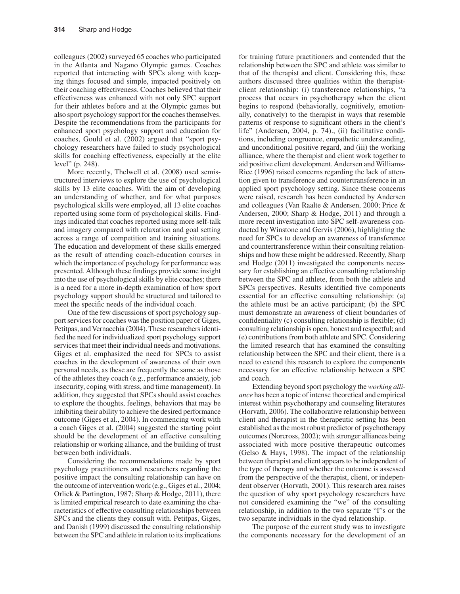colleagues (2002) surveyed 65 coaches who participated in the Atlanta and Nagano Olympic games. Coaches reported that interacting with SPCs along with keeping things focused and simple, impacted positively on their coaching effectiveness. Coaches believed that their effectiveness was enhanced with not only SPC support for their athletes before and at the Olympic games but also sport psychology support for the coaches themselves. Despite the recommendations from the participants for enhanced sport psychology support and education for coaches, Gould et al. (2002) argued that "sport psychology researchers have failed to study psychological skills for coaching effectiveness, especially at the elite level" (p. 248).

More recently, Thelwell et al. (2008) used semistructured interviews to explore the use of psychological skills by 13 elite coaches. With the aim of developing an understanding of whether, and for what purposes psychological skills were employed, all 13 elite coaches reported using some form of psychological skills. Findings indicated that coaches reported using more self-talk and imagery compared with relaxation and goal setting across a range of competition and training situations. The education and development of these skills emerged as the result of attending coach-education courses in which the importance of psychology for performance was presented. Although these findings provide some insight into the use of psychological skills by elite coaches; there is a need for a more in-depth examination of how sport psychology support should be structured and tailored to meet the specific needs of the individual coach.

One of the few discussions of sport psychology support services for coaches was the position paper of Giges, Petitpas, and Vernacchia (2004). These researchers identified the need for individualized sport psychology support services that meet their individual needs and motivations. Giges et al. emphasized the need for SPCs to assist coaches in the development of awareness of their own personal needs, as these are frequently the same as those of the athletes they coach (e.g., performance anxiety, job insecurity, coping with stress, and time management). In addition, they suggested that SPCs should assist coaches to explore the thoughts, feelings, behaviors that may be inhibiting their ability to achieve the desired performance outcome (Giges et al., 2004). In commencing work with a coach Giges et al. (2004) suggested the starting point should be the development of an effective consulting relationship or working alliance, and the building of trust between both individuals.

Considering the recommendations made by sport psychology practitioners and researchers regarding the positive impact the consulting relationship can have on the outcome of intervention work (e.g., Giges et al., 2004; Orlick & Partington, 1987; Sharp & Hodge, 2011), there is limited empirical research to date examining the characteristics of effective consulting relationships between SPCs and the clients they consult with. Petitpas, Giges, and Danish (1999) discussed the consulting relationship between the SPC and athlete in relation to its implications

for training future practitioners and contended that the relationship between the SPC and athlete was similar to that of the therapist and client. Considering this, these authors discussed three qualities within the therapistclient relationship: (i) transference relationships, "a process that occurs in psychotherapy when the client begins to respond (behaviorally, cognitively, emotionally, conatively) to the therapist in ways that resemble patterns of response to significant others in the client's life" (Andersen, 2004, p. 74)., (ii) facilitative conditions, including congruence, empathetic understanding, and unconditional positive regard, and (iii) the working alliance, where the therapist and client work together to aid positive client development. Andersen and Williams-Rice (1996) raised concerns regarding the lack of attention given to transference and countertransference in an applied sport psychology setting. Since these concerns were raised, research has been conducted by Andersen and colleagues (Van Raalte & Andersen, 2000; Price & Andersen, 2000; Sharp & Hodge, 2011) and through a more recent investigation into SPC self-awareness conducted by Winstone and Gervis (2006), highlighting the need for SPCs to develop an awareness of transference and countertransference within their consulting relationships and how these might be addressed. Recently, Sharp and Hodge (2011) investigated the components necessary for establishing an effective consulting relationship between the SPC and athlete, from both the athlete and SPCs perspectives. Results identified five components essential for an effective consulting relationship: (a) the athlete must be an active participant; (b) the SPC must demonstrate an awareness of client boundaries of confidentiality (c) consulting relationship is flexible; (d) consulting relationship is open, honest and respectful; and (e) contributions from both athlete and SPC. Considering the limited research that has examined the consulting relationship between the SPC and their client, there is a need to extend this research to explore the components necessary for an effective relationship between a SPC and coach.

Extending beyond sport psychology the *working alliance* has been a topic of intense theoretical and empirical interest within psychotherapy and counseling literatures (Horvath, 2006). The collaborative relationship between client and therapist in the therapeutic setting has been established as the most robust predictor of psychotherapy outcomes (Norcross, 2002); with stronger alliances being associated with more positive therapeutic outcomes (Gelso & Hays, 1998). The impact of the relationship between therapist and client appears to be independent of the type of therapy and whether the outcome is assessed from the perspective of the therapist, client, or independent observer (Horvath, 2001). This research area raises the question of why sport psychology researchers have not considered examining the "we" of the consulting relationship, in addition to the two separate "I"s or the two separate individuals in the dyad relationship.

The purpose of the current study was to investigate the components necessary for the development of an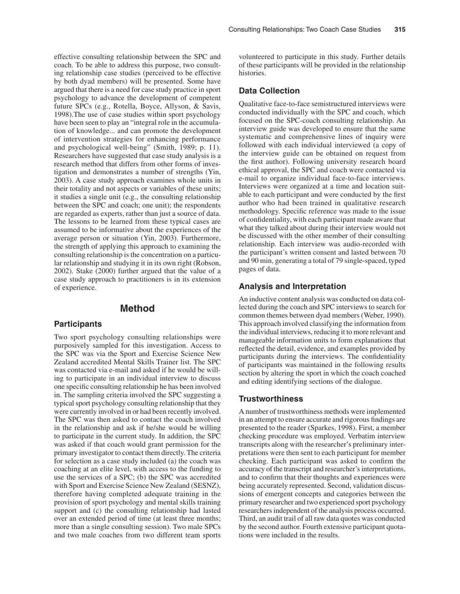effective consulting relationship between the SPC and coach. To be able to address this purpose, two consulting relationship case studies (perceived to be effective by both dyad members) will be presented. Some have argued that there is a need for case study practice in sport psychology to advance the development of competent future SPCs (e.g., Rotella, Boyce, Allyson, & Savis, 1998).The use of case studies within sport psychology have been seen to play an "integral role in the accumulation of knowledge... and can promote the development of intervention strategies for enhancing performance and psychological well-being" (Smith, 1989; p. 11). Researchers have suggested that case study analysis is a research method that differs from other forms of investigation and demonstrates a number of strengths (Yin, 2003). A case study approach examines whole units in their totality and not aspects or variables of these units; it studies a single unit (e.g., the consulting relationship between the SPC and coach; one unit); the respondents are regarded as experts, rather than just a source of data. The lessons to be learned from these typical cases are assumed to be informative about the experiences of the average person or situation (Yin, 2003). Furthermore, the strength of applying this approach to examining the consulting relationship is the concentration on a particular relationship and studying it in its own right (Robson, 2002). Stake (2000) further argued that the value of a case study approach to practitioners is in its extension of experience.

# **Method**

### **Participants**

Two sport psychology consulting relationships were purposively sampled for this investigation. Access to the SPC was via the Sport and Exercise Science New Zealand accredited Mental Skills Trainer list. The SPC was contacted via e-mail and asked if he would be willing to participate in an individual interview to discuss one specific consulting relationship he has been involved in. The sampling criteria involved the SPC suggesting a typical sport psychology consulting relationship that they were currently involved in or had been recently involved. The SPC was then asked to contact the coach involved in the relationship and ask if he/she would be willing to participate in the current study. In addition, the SPC was asked if that coach would grant permission for the primary investigator to contact them directly. The criteria for selection as a case study included (a) the coach was coaching at an elite level, with access to the funding to use the services of a SPC; (b) the SPC was accredited with Sport and Exercise Science New Zealand (SESNZ), therefore having completed adequate training in the provision of sport psychology and mental skills training support and (c) the consulting relationship had lasted over an extended period of time (at least three months; more than a single consulting session). Two male SPCs and two male coaches from two different team sports

volunteered to participate in this study. Further details of these participants will be provided in the relationship histories.

### **Data Collection**

Qualitative face-to-face semistructured interviews were conducted individually with the SPC and coach, which focused on the SPC-coach consulting relationship. An interview guide was developed to ensure that the same systematic and comprehensive lines of inquiry were followed with each individual interviewed (a copy of the interview guide can be obtained on request from the first author). Following university research board ethical approval, the SPC and coach were contacted via e-mail to organize individual face-to-face interviews. Interviews were organized at a time and location suitable to each participant and were conducted by the first author who had been trained in qualitative research methodology. Specific reference was made to the issue of confidentiality, with each participant made aware that what they talked about during their interview would not be discussed with the other member of their consulting relationship. Each interview was audio-recorded with the participant's written consent and lasted between 70 and 90 min, generating a total of 79 single-spaced, typed pages of data.

### **Analysis and Interpretation**

An inductive content analysis was conducted on data collected during the coach and SPC interviews to search for common themes between dyad members (Weber, 1990). This approach involved classifying the information from the individual interviews, reducing it to more relevant and manageable information units to form explanations that reflected the detail, evidence, and examples provided by participants during the interviews. The confidentiality of participants was maintained in the following results section by altering the sport in which the coach coached and editing identifying sections of the dialogue.

#### **Trustworthiness**

A number of trustworthiness methods were implemented in an attempt to ensure accurate and rigorous findings are presented to the reader (Sparkes, 1998). First, a member checking procedure was employed. Verbatim interview transcripts along with the researcher's preliminary interpretations were then sent to each participant for member checking. Each participant was asked to confirm the accuracy of the transcript and researcher's interpretations, and to confirm that their thoughts and experiences were being accurately represented. Second, validation discussions of emergent concepts and categories between the primary researcher and two experienced sport psychology researchers independent of the analysis process occurred. Third, an audit trail of all raw data quotes was conducted by the second author. Fourth extensive participant quotations were included in the results.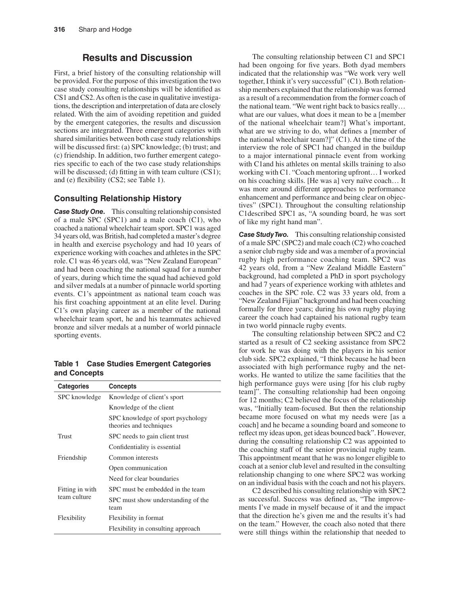# **Results and Discussion**

First, a brief history of the consulting relationship will be provided. For the purpose of this investigation the two case study consulting relationships will be identified as CS1 and CS2. As often is the case in qualitative investigations, the description and interpretation of data are closely related. With the aim of avoiding repetition and guided by the emergent categories, the results and discussion sections are integrated. Three emergent categories with shared similarities between both case study relationships will be discussed first: (a) SPC knowledge; (b) trust; and (c) friendship. In addition, two further emergent categories specific to each of the two case study relationships will be discussed; (d) fitting in with team culture (CS1); and (e) flexibility (CS2; see Table 1).

### **Consulting Relationship History**

*Case Study One.* This consulting relationship consisted of a male SPC (SPC1) and a male coach (C1), who coached a national wheelchair team sport. SPC1 was aged 34 years old, was British, had completed a master's degree in health and exercise psychology and had 10 years of experience working with coaches and athletes in the SPC role. C1 was 46 years old, was "New Zealand European" and had been coaching the national squad for a number of years, during which time the squad had achieved gold and silver medals at a number of pinnacle world sporting events. C1's appointment as national team coach was his first coaching appointment at an elite level. During C1's own playing career as a member of the national wheelchair team sport, he and his teammates achieved bronze and silver medals at a number of world pinnacle sporting events.

**Table 1 Case Studies Emergent Categories and Concepts**

| <b>Categories</b>               | <b>Concepts</b>                                              |
|---------------------------------|--------------------------------------------------------------|
| SPC knowledge                   | Knowledge of client's sport                                  |
|                                 | Knowledge of the client                                      |
|                                 | SPC knowledge of sport psychology<br>theories and techniques |
| Trust                           | SPC needs to gain client trust                               |
|                                 | Confidentiality is essential                                 |
| Friendship                      | Common interests                                             |
|                                 | Open communication                                           |
|                                 | Need for clear boundaries                                    |
| Fitting in with<br>team culture | SPC must be embedded in the team                             |
|                                 | SPC must show understanding of the<br>team                   |
| Flexibility                     | Flexibility in format                                        |
|                                 | Flexibility in consulting approach                           |

The consulting relationship between C1 and SPC1 had been ongoing for five years. Both dyad members indicated that the relationship was "We work very well together, I think it's very successful" (C1). Both relationship members explained that the relationship was formed as a result of a recommendation from the former coach of the national team. "We went right back to basics really… what are our values, what does it mean to be a [member of the national wheelchair team?] What's important, what are we striving to do, what defines a [member of the national wheelchair team?]" (C1). At the time of the interview the role of SPC1 had changed in the buildup to a major international pinnacle event from working with C1and his athletes on mental skills training to also working with C1. "Coach mentoring upfront… I worked on his coaching skills. [He was a] very naïve coach… It was more around different approaches to performance enhancement and performance and being clear on objectives" (SPC1). Throughout the consulting relationship C1described SPC1 as, "A sounding board, he was sort of like my right hand man".

*Case Study Two.* This consulting relationship consisted of a male SPC (SPC2) and male coach (C2) who coached a senior club rugby side and was a member of a provincial rugby high performance coaching team. SPC2 was 42 years old, from a "New Zealand Middle Eastern" background, had completed a PhD in sport psychology and had 7 years of experience working with athletes and coaches in the SPC role. C2 was 33 years old, from a "New Zealand Fijian" background and had been coaching formally for three years; during his own rugby playing career the coach had captained his national rugby team in two world pinnacle rugby events.

The consulting relationship between SPC2 and C2 started as a result of C2 seeking assistance from SPC2 for work he was doing with the players in his senior club side. SPC2 explained, "I think because he had been associated with high performance rugby and the networks. He wanted to utilize the same facilities that the high performance guys were using [for his club rugby team]". The consulting relationship had been ongoing for 12 months; C2 believed the focus of the relationship was, "Initially team-focused. But then the relationship became more focused on what my needs were [as a coach] and he became a sounding board and someone to reflect my ideas upon, get ideas bounced back". However, during the consulting relationship C2 was appointed to the coaching staff of the senior provincial rugby team. This appointment meant that he was no longer eligible to coach at a senior club level and resulted in the consulting relationship changing to one where SPC2 was working on an individual basis with the coach and not his players.

C2 described his consulting relationship with SPC2 as successful. Success was defined as, "The improvements I've made in myself because of it and the impact that the direction he's given me and the results it's had on the team." However, the coach also noted that there were still things within the relationship that needed to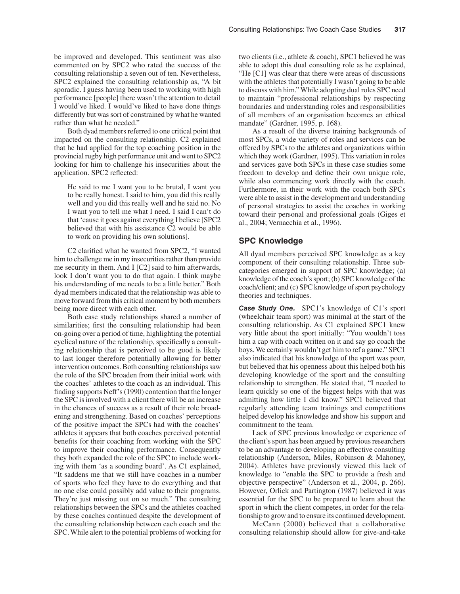be improved and developed. This sentiment was also commented on by SPC2 who rated the success of the consulting relationship a seven out of ten. Nevertheless, SPC2 explained the consulting relationship as, "A bit sporadic. I guess having been used to working with high performance [people] there wasn't the attention to detail I would've liked. I would've liked to have done things differently but was sort of constrained by what he wanted rather than what he needed."

Both dyad members referred to one critical point that impacted on the consulting relationship. C2 explained that he had applied for the top coaching position in the provincial rugby high performance unit and went to SPC2 looking for him to challenge his insecurities about the application. SPC2 reflected:

He said to me I want you to be brutal, I want you to be really honest. I said to him, you did this really well and you did this really well and he said no. No I want you to tell me what I need. I said I can't do that 'cause it goes against everything I believe [SPC2 believed that with his assistance C2 would be able to work on providing his own solutions].

C2 clarified what he wanted from SPC2, "I wanted him to challenge me in my insecurities rather than provide me security in them. And I [C2] said to him afterwards, look I don't want you to do that again. I think maybe his understanding of me needs to be a little better." Both dyad members indicated that the relationship was able to move forward from this critical moment by both members being more direct with each other.

Both case study relationships shared a number of similarities; first the consulting relationship had been on-going over a period of time, highlighting the potential cyclical nature of the relationship, specifically a consulting relationship that is perceived to be good is likely to last longer therefore potentially allowing for better intervention outcomes. Both consulting relationships saw the role of the SPC broaden from their initial work with the coaches' athletes to the coach as an individual. This finding supports Neff's (1990) contention that the longer the SPC is involved with a client there will be an increase in the chances of success as a result of their role broadening and strengthening. Based on coaches' perceptions of the positive impact the SPCs had with the coaches' athletes it appears that both coaches perceived potential benefits for their coaching from working with the SPC to improve their coaching performance. Consequently they both expanded the role of the SPC to include working with them 'as a sounding board'. As C1 explained, "It saddens me that we still have coaches in a number of sports who feel they have to do everything and that no one else could possibly add value to their programs. They're just missing out on so much." The consulting relationships between the SPCs and the athletes coached by these coaches continued despite the development of the consulting relationship between each coach and the SPC. While alert to the potential problems of working for

two clients (i.e., athlete & coach), SPC1 believed he was able to adopt this dual consulting role as he explained, "He [C1] was clear that there were areas of discussions with the athletes that potentially I wasn't going to be able to discuss with him." While adopting dual roles SPC need to maintain "professional relationships by respecting boundaries and understanding roles and responsibilities of all members of an organisation becomes an ethical mandate" (Gardner, 1995, p. 168).

As a result of the diverse training backgrounds of most SPCs, a wide variety of roles and services can be offered by SPCs to the athletes and organizations within which they work (Gardner, 1995). This variation in roles and services gave both SPCs in these case studies some freedom to develop and define their own unique role, while also commencing work directly with the coach. Furthermore, in their work with the coach both SPCs were able to assist in the development and understanding of personal strategies to assist the coaches in working toward their personal and professional goals (Giges et al., 2004; Vernacchia et al., 1996).

# **SPC Knowledge**

All dyad members perceived SPC knowledge as a key component of their consulting relationship. Three subcategories emerged in support of SPC knowledge; (a) knowledge of the coach's sport; (b) SPC knowledge of the coach/client; and (c) SPC knowledge of sport psychology theories and techniques.

*Case Study One.* SPC1's knowledge of C1's sport (wheelchair team sport) was minimal at the start of the consulting relationship. As C1 explained SPC1 knew very little about the sport initially: "You wouldn't toss him a cap with coach written on it and say go coach the boys. We certainly wouldn't get him to ref a game." SPC1 also indicated that his knowledge of the sport was poor, but believed that his openness about this helped both his developing knowledge of the sport and the consulting relationship to strengthen. He stated that, "I needed to learn quickly so one of the biggest helps with that was admitting how little I did know." SPC1 believed that regularly attending team trainings and competitions helped develop his knowledge and show his support and commitment to the team.

Lack of SPC previous knowledge or experience of the client's sport has been argued by previous researchers to be an advantage to developing an effective consulting relationship (Anderson, Miles, Robinson & Mahoney, 2004). Athletes have previously viewed this lack of knowledge to "enable the SPC to provide a fresh and objective perspective" (Anderson et al., 2004, p. 266). However, Orlick and Partington (1987) believed it was essential for the SPC to be prepared to learn about the sport in which the client competes, in order for the relationship to grow and to ensure its continued development.

McCann (2000) believed that a collaborative consulting relationship should allow for give-and-take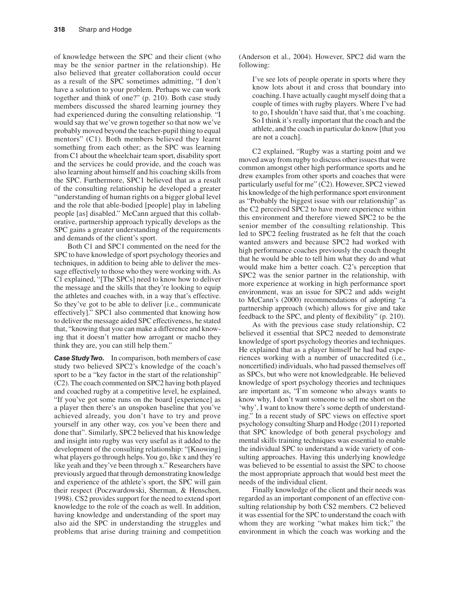of knowledge between the SPC and their client (who may be the senior partner in the relationship). He also believed that greater collaboration could occur as a result of the SPC sometimes admitting, "I don't have a solution to your problem. Perhaps we can work together and think of one?" (p. 210). Both case study members discussed the shared learning journey they had experienced during the consulting relationship. "I would say that we've grown together so that now we've probably moved beyond the teacher-pupil thing to equal mentors" (C1). Both members believed they learnt something from each other; as the SPC was learning from C1 about the wheelchair team sport, disability sport and the services he could provide, and the coach was also learning about himself and his coaching skills from the SPC. Furthermore, SPC1 believed that as a result of the consulting relationship he developed a greater "understanding of human rights on a bigger global level and the role that able-bodied [people] play in labeling people [as] disabled." McCann argued that this collaborative, partnership approach typically develops as the SPC gains a greater understanding of the requirements and demands of the client's sport.

Both C1 and SPC1 commented on the need for the SPC to have knowledge of sport psychology theories and techniques, in addition to being able to deliver the message effectively to those who they were working with. As C1 explained, "[The SPCs] need to know how to deliver the message and the skills that they're looking to equip the athletes and coaches with, in a way that's effective. So they've got to be able to deliver [i.e., communicate effectively]." SPC1 also commented that knowing how to deliver the message aided SPC effectiveness, he stated that, "knowing that you can make a difference and knowing that it doesn't matter how arrogant or macho they think they are, you can still help them."

*Case Study Two.* In comparison, both members of case study two believed SPC2's knowledge of the coach's sport to be a "key factor in the start of the relationship" (C2). The coach commented on SPC2 having both played and coached rugby at a competitive level, he explained, "If you've got some runs on the board [experience] as a player then there's an unspoken baseline that you've achieved already, you don't have to try and prove yourself in any other way, cos you've been there and done that". Similarly, SPC2 believed that his knowledge and insight into rugby was very useful as it added to the development of the consulting relationship: "[Knowing] what players go through helps. You go, like x and they're like yeah and they've been through x." Researchers have previously argued that through demonstrating knowledge and experience of the athlete's sport, the SPC will gain their respect (Poczwardowski, Sherman, & Henschen, 1998). CS2 provides support for the need to extend sport knowledge to the role of the coach as well. In addition, having knowledge and understanding of the sport may also aid the SPC in understanding the struggles and problems that arise during training and competition

(Anderson et al., 2004). However, SPC2 did warn the following:

I've see lots of people operate in sports where they know lots about it and cross that boundary into coaching. I have actually caught myself doing that a couple of times with rugby players. Where I've had to go, I shouldn't have said that, that's me coaching. So I think it's really important that the coach and the athlete, and the coach in particular do know [that you are not a coach].

C2 explained, "Rugby was a starting point and we moved away from rugby to discuss other issues that were common amongst other high performance sports and he drew examples from other sports and coaches that were particularly useful for me" (C2). However, SPC2 viewed his knowledge of the high performance sport environment as "Probably the biggest issue with our relationship" as the C2 perceived SPC2 to have more experience within this environment and therefore viewed SPC2 to be the senior member of the consulting relationship. This led to SPC2 feeling frustrated as he felt that the coach wanted answers and because SPC2 had worked with high performance coaches previously the coach thought that he would be able to tell him what they do and what would make him a better coach. C2's perception that SPC2 was the senior partner in the relationship, with more experience at working in high performance sport environment, was an issue for SPC2 and adds weight to McCann's (2000) recommendations of adopting "a partnership approach (which) allows for give and take feedback to the SPC, and plenty of flexibility" (p. 210).

As with the previous case study relationship, C2 believed it essential that SPC2 needed to demonstrate knowledge of sport psychology theories and techniques. He explained that as a player himself he had bad experiences working with a number of unaccredited (i.e., noncertified) individuals, who had passed themselves off as SPCs, but who were not knowledgeable. He believed knowledge of sport psychology theories and techniques are important as, "I'm someone who always wants to know why, I don't want someone to sell me short on the 'why', I want to know there's some depth of understanding." In a recent study of SPC views on effective sport psychology consulting Sharp and Hodge (2011) reported that SPC knowledge of both general psychology and mental skills training techniques was essential to enable the individual SPC to understand a wide variety of consulting approaches. Having this underlying knowledge was believed to be essential to assist the SPC to choose the most appropriate approach that would best meet the needs of the individual client.

Finally knowledge of the client and their needs was regarded as an important component of an effective consulting relationship by both CS2 members. C2 believed it was essential for the SPC to understand the coach with whom they are working "what makes him tick;" the environment in which the coach was working and the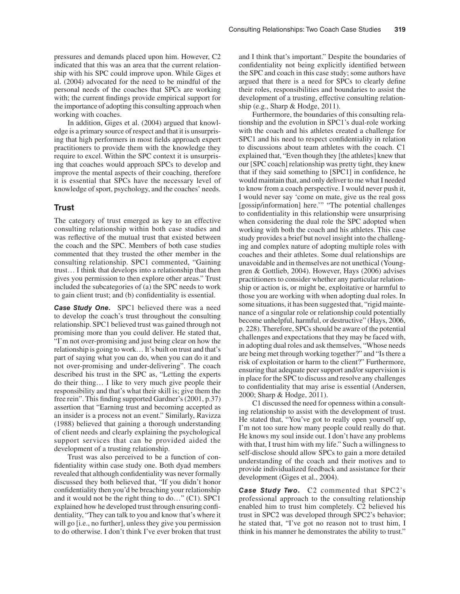pressures and demands placed upon him. However, C2 indicated that this was an area that the current relationship with his SPC could improve upon. While Giges et al. (2004) advocated for the need to be mindful of the personal needs of the coaches that SPCs are working with; the current findings provide empirical support for the importance of adopting this consulting approach when working with coaches.

In addition, Giges et al. (2004) argued that knowledge is a primary source of respect and that it is unsurprising that high performers in most fields approach expert practitioners to provide them with the knowledge they require to excel. Within the SPC context it is unsurprising that coaches would approach SPCs to develop and improve the mental aspects of their coaching, therefore it is essential that SPCs have the necessary level of knowledge of sport, psychology, and the coaches' needs.

### **Trust**

The category of trust emerged as key to an effective consulting relationship within both case studies and was reflective of the mutual trust that existed between the coach and the SPC. Members of both case studies commented that they trusted the other member in the consulting relationship. SPC1 commented, "Gaining trust… I think that develops into a relationship that then gives you permission to then explore other areas." Trust included the subcategories of (a) the SPC needs to work to gain client trust; and (b) confidentiality is essential.

*Case Study One.* SPC1 believed there was a need to develop the coach's trust throughout the consulting relationship. SPC1 believed trust was gained through not promising more than you could deliver. He stated that, "I'm not over-promising and just being clear on how the relationship is going to work… It's built on trust and that's part of saying what you can do, when you can do it and not over-promising and under-delivering". The coach described his trust in the SPC as, "Letting the experts do their thing… I like to very much give people their responsibility and that's what their skill is; give them the free rein". This finding supported Gardner's (2001, p.37) assertion that "Earning trust and becoming accepted as an insider is a process not an event." Similarly, Ravizza (1988) believed that gaining a thorough understanding of client needs and clearly explaining the psychological support services that can be provided aided the development of a trusting relationship.

Trust was also perceived to be a function of confidentiality within case study one. Both dyad members revealed that although confidentiality was never formally discussed they both believed that, "If you didn't honor confidentiality then you'd be breaching your relationship and it would not be the right thing to do…" (C1). SPC1 explained how he developed trust through ensuring confidentiality, "They can talk to you and know that's where it will go [i.e., no further], unless they give you permission to do otherwise. I don't think I've ever broken that trust

and I think that's important." Despite the boundaries of confidentiality not being explicitly identified between the SPC and coach in this case study; some authors have argued that there is a need for SPCs to clearly define their roles, responsibilities and boundaries to assist the development of a trusting, effective consulting relationship (e.g., Sharp & Hodge, 2011).

Furthermore, the boundaries of this consulting relationship and the evolution in SPC1's dual-role working with the coach and his athletes created a challenge for SPC1 and his need to respect confidentiality in relation to discussions about team athletes with the coach. C1 explained that, "Even though they [the athletes] knew that our [SPC coach] relationship was pretty tight, they knew that if they said something to [SPC1] in confidence, he would maintain that, and only deliver to me what I needed to know from a coach perspective. I would never push it, I would never say 'come on mate, give us the real goss [gossip/information] here.'" "The potential challenges to confidentiality in this relationship were unsurprising when considering the dual role the SPC adopted when working with both the coach and his athletes. This case study provides a brief but novel insight into the challenging and complex nature of adopting multiple roles with coaches and their athletes. Some dual relationships are unavoidable and in themselves are not unethical (Younggren & Gottlieb, 2004). However, Hays (2006) advises practitioners to consider whether any particular relationship or action is, or might be, exploitative or harmful to those you are working with when adopting dual roles. In some situations, it has been suggested that, "rigid maintenance of a singular role or relationship could potentially become unhelpful, harmful, or destructive" (Hays, 2006, p. 228). Therefore, SPCs should be aware of the potential challenges and expectations that they may be faced with, in adopting dual roles and ask themselves, "Whose needs are being met through working together?" and "Is there a risk of exploitation or harm to the client?" Furthermore, ensuring that adequate peer support and/or supervision is in place for the SPC to discuss and resolve any challenges to confidentiality that may arise is essential (Andersen, 2000; Sharp & Hodge, 2011).

C1 discussed the need for openness within a consulting relationship to assist with the development of trust. He stated that, "You've got to really open yourself up, I'm not too sure how many people could really do that. He knows my soul inside out. I don't have any problems with that, I trust him with my life." Such a willingness to self-disclose should allow SPCs to gain a more detailed understanding of the coach and their motives and to provide individualized feedback and assistance for their development (Giges et al., 2004).

*Case Study Two.* C2 commented that SPC2's professional approach to the consulting relationship enabled him to trust him completely. C2 believed his trust in SPC2 was developed through SPC2's behavior; he stated that, "I've got no reason not to trust him, I think in his manner he demonstrates the ability to trust."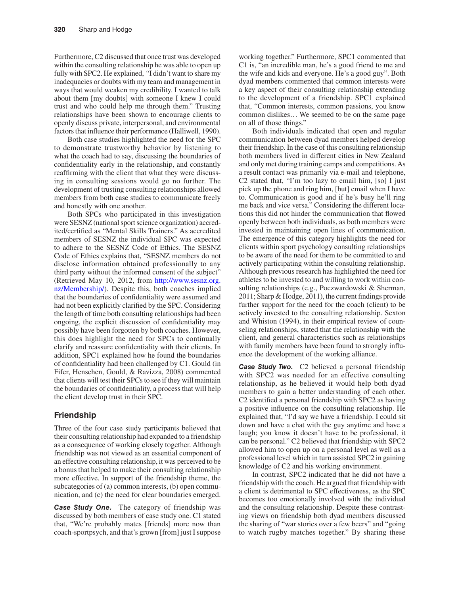Furthermore, C2 discussed that once trust was developed within the consulting relationship he was able to open up fully with SPC2. He explained, *"*I didn't want to share my inadequacies or doubts with my team and management in ways that would weaken my credibility. I wanted to talk about them [my doubts] with someone I knew I could trust and who could help me through them." Trusting relationships have been shown to encourage clients to openly discuss private, interpersonal, and environmental factors that influence their performance (Halliwell, 1990).

Both case studies highlighted the need for the SPC to demonstrate trustworthy behavior by listening to what the coach had to say, discussing the boundaries of confidentiality early in the relationship, and constantly reaffirming with the client that what they were discussing in consulting sessions would go no further. The development of trusting consulting relationships allowed members from both case studies to communicate freely and honestly with one another.

Both SPCs who participated in this investigation were SESNZ (national sport science organization) accredited/certified as "Mental Skills Trainers." As accredited members of SESNZ the individual SPC was expected to adhere to the SESNZ Code of Ethics. The SESNZ Code of Ethics explains that, "SESNZ members do not disclose information obtained professionally to any third party without the informed consent of the subject" (Retrieved May 10, 2012, from [http://www.sesnz.org.](http://www.sesnz.org.nz/Membership/) [nz/Membership/\)](http://www.sesnz.org.nz/Membership/). Despite this, both coaches implied that the boundaries of confidentiality were assumed and had not been explicitly clarified by the SPC. Considering the length of time both consulting relationships had been ongoing, the explicit discussion of confidentiality may possibly have been forgotten by both coaches. However, this does highlight the need for SPCs to continually clarify and reassure confidentiality with their clients. In addition, SPC1 explained how he found the boundaries of confidentiality had been challenged by C1. Gould (in Fifer, Henschen, Gould, & Ravizza, 2008) commented that clients will test their SPCs to see if they will maintain the boundaries of confidentiality, a process that will help the client develop trust in their SPC.

# **Friendship**

Three of the four case study participants believed that their consulting relationship had expanded to a friendship as a consequence of working closely together. Although friendship was not viewed as an essential component of an effective consulting relationship, it was perceived to be a bonus that helped to make their consulting relationship more effective. In support of the friendship theme, the subcategories of (a) common interests, (b) open communication, and (c) the need for clear boundaries emerged.

*Case Study One.* The category of friendship was discussed by both members of case study one. C1 stated that, "We're probably mates [friends] more now than coach-sportpsych, and that's grown [from] just I suppose

working together." Furthermore, SPC1 commented that C1 is, "an incredible man, he's a good friend to me and the wife and kids and everyone. He's a good guy". Both dyad members commented that common interests were a key aspect of their consulting relationship extending to the development of a friendship. SPC1 explained that, "Common interests, common passions, you know common dislikes… We seemed to be on the same page on all of those things."

Both individuals indicated that open and regular communication between dyad members helped develop their friendship. In the case of this consulting relationship both members lived in different cities in New Zealand and only met during training camps and competitions. As a result contact was primarily via e-mail and telephone, C2 stated that, "I'm too lazy to email him, [so] I just pick up the phone and ring him, [but] email when I have to. Communication is good and if he's busy he'll ring me back and vice versa." Considering the different locations this did not hinder the communication that flowed openly between both individuals, as both members were invested in maintaining open lines of communication. The emergence of this category highlights the need for clients within sport psychology consulting relationships to be aware of the need for them to be committed to and actively participating within the consulting relationship. Although previous research has highlighted the need for athletes to be invested to and willing to work within consulting relationships (e.g., Poczwardowski & Sherman, 2011; Sharp & Hodge, 2011), the current findings provide further support for the need for the coach (client) to be actively invested to the consulting relationship. Sexton and Whiston (1994), in their empirical review of counseling relationships, stated that the relationship with the client, and general characteristics such as relationships with family members have been found to strongly influence the development of the working alliance.

*Case Study Two.* C2 believed a personal friendship with SPC2 was needed for an effective consulting relationship, as he believed it would help both dyad members to gain a better understanding of each other. C2 identified a personal friendship with SPC2 as having a positive influence on the consulting relationship. He explained that, "I'd say we have a friendship. I could sit down and have a chat with the guy anytime and have a laugh; you know it doesn't have to be professional, it can be personal." C2 believed that friendship with SPC2 allowed him to open up on a personal level as well as a professional level which in turn assisted SPC2 in gaining knowledge of C2 and his working environment.

In contrast, SPC2 indicated that he did not have a friendship with the coach. He argued that friendship with a client is detrimental to SPC effectiveness, as the SPC becomes too emotionally involved with the individual and the consulting relationship. Despite these contrasting views on friendship both dyad members discussed the sharing of "war stories over a few beers" and "going to watch rugby matches together." By sharing these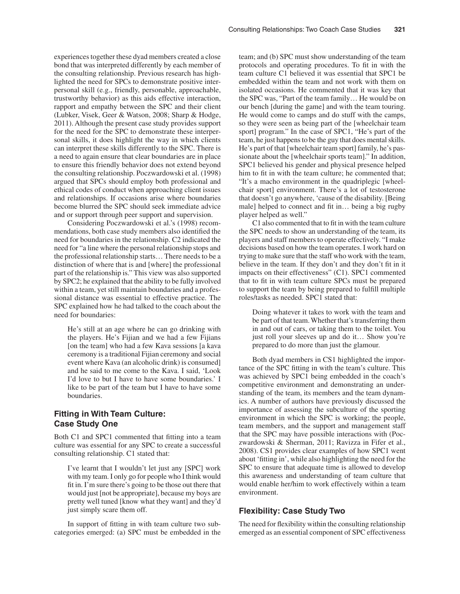experiences together these dyad members created a close bond that was interpreted differently by each member of the consulting relationship. Previous research has highlighted the need for SPCs to demonstrate positive interpersonal skill (e.g., friendly, personable, approachable, trustworthy behavior) as this aids effective interaction, rapport and empathy between the SPC and their client (Lubker, Visek, Geer & Watson, 2008; Sharp & Hodge, 2011). Although the present case study provides support for the need for the SPC to demonstrate these interpersonal skills, it does highlight the way in which clients can interpret these skills differently to the SPC. There is a need to again ensure that clear boundaries are in place to ensure this friendly behavior does not extend beyond the consulting relationship. Poczwardowski et al. (1998) argued that SPCs should employ both professional and ethical codes of conduct when approaching client issues and relationships. If occasions arise where boundaries become blurred the SPC should seek immediate advice and or support through peer support and supervision.

Considering Poczwardowski et al.'s (1998) recommendations, both case study members also identified the need for boundaries in the relationship. C2 indicated the need for "a line where the personal relationship stops and the professional relationship starts… There needs to be a distinction of where that is and [where] the professional part of the relationship is." This view was also supported by SPC2; he explained that the ability to be fully involved within a team, yet still maintain boundaries and a professional distance was essential to effective practice. The SPC explained how he had talked to the coach about the need for boundaries:

He's still at an age where he can go drinking with the players. He's Fijian and we had a few Fijians [on the team] who had a few Kava sessions [a kava ceremony is a traditional Fijian ceremony and social event where Kava (an alcoholic drink) is consumed] and he said to me come to the Kava. I said, 'Look I'd love to but I have to have some boundaries.' I like to be part of the team but I have to have some boundaries.

## **Fitting in With Team Culture: Case Study One**

Both C1 and SPC1 commented that fitting into a team culture was essential for any SPC to create a successful consulting relationship. C1 stated that:

I've learnt that I wouldn't let just any [SPC] work with my team. I only go for people who I think would fit in. I'm sure there's going to be those out there that would just [not be appropriate], because my boys are pretty well tuned [know what they want] and they'd just simply scare them off.

In support of fitting in with team culture two subcategories emerged: (a) SPC must be embedded in the

team; and (b) SPC must show understanding of the team protocols and operating procedures. To fit in with the team culture C1 believed it was essential that SPC1 be embedded within the team and not work with them on isolated occasions. He commented that it was key that the SPC was, "Part of the team family… He would be on our bench [during the game] and with the team touring. He would come to camps and do stuff with the camps, so they were seen as being part of the [wheelchair team sport] program." In the case of SPC1, "He's part of the team, he just happens to be the guy that does mental skills. He's part of that [wheelchair team sport] family, he's passionate about the [wheelchair sports team]." In addition, SPC1 believed his gender and physical presence helped him to fit in with the team culture; he commented that; "It's a macho environment in the quadriplegic [wheelchair sport] environment. There's a lot of testosterone that doesn't go anywhere, 'cause of the disability. [Being male] helped to connect and fit in… being a big rugby player helped as well."

C1 also commented that to fit in with the team culture the SPC needs to show an understanding of the team, its players and staff members to operate effectively. "I make decisions based on how the team operates. I work hard on trying to make sure that the staff who work with the team, believe in the team. If they don't and they don't fit in it impacts on their effectiveness" (C1). SPC1 commented that to fit in with team culture SPCs must be prepared to support the team by being prepared to fulfill multiple roles/tasks as needed. SPC1 stated that:

Doing whatever it takes to work with the team and be part of that team. Whether that's transferring them in and out of cars, or taking them to the toilet. You just roll your sleeves up and do it… Show you're prepared to do more than just the glamour.

Both dyad members in CS1 highlighted the importance of the SPC fitting in with the team's culture. This was achieved by SPC1 being embedded in the coach's competitive environment and demonstrating an understanding of the team, its members and the team dynamics. A number of authors have previously discussed the importance of assessing the subculture of the sporting environment in which the SPC is working; the people, team members, and the support and management staff that the SPC may have possible interactions with (Poczwardowski & Sherman, 2011; Ravizza in Fifer et al., 2008). CS1 provides clear examples of how SPC1 went about 'fitting in', while also highlighting the need for the SPC to ensure that adequate time is allowed to develop this awareness and understanding of team culture that would enable her/him to work effectively within a team environment.

#### **Flexibility: Case Study Two**

The need for flexibility within the consulting relationship emerged as an essential component of SPC effectiveness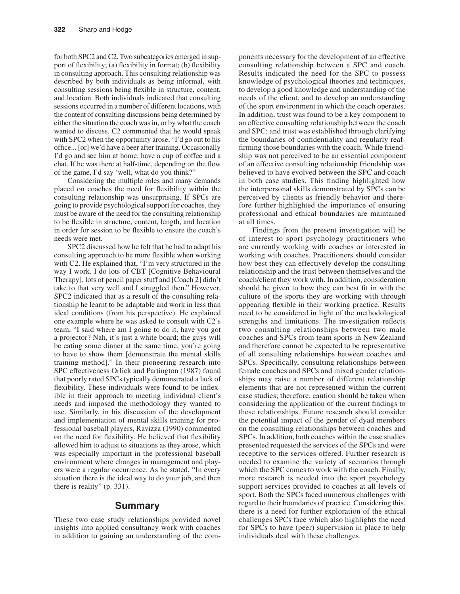for both SPC2 and C2. Two subcategories emerged in support of flexibility; (a) flexibility in format; (b) flexibility in consulting approach. This consulting relationship was described by both individuals as being informal, with consulting sessions being flexible in structure, content, and location. Both individuals indicated that consulting sessions occurred in a number of different locations, with the content of consulting discussions being determined by either the situation the coach was in, or by what the coach wanted to discuss. C2 commented that he would speak with SPC2 when the opportunity arose, "I'd go out to his office... [or] we'd have a beer after training. Occasionally I'd go and see him at home, have a cup of coffee and a chat. If he was there at half-time, depending on the flow of the game, I'd say 'well, what do you think?"

Considering the multiple roles and many demands placed on coaches the need for flexibility within the consulting relationship was unsurprising. If SPCs are going to provide psychological support for coaches, they must be aware of the need for the consulting relationship to be flexible in structure, content, length, and location in order for session to be flexible to ensure the coach's needs were met.

SPC2 discussed how he felt that he had to adapt his consulting approach to be more flexible when working with C2. He explained that, "I'm very structured in the way I work. I do lots of CBT [Cognitive Behavioural Therapy], lots of pencil paper stuff and [Coach 2] didn't take to that very well and I struggled then." However, SPC2 indicated that as a result of the consulting relationship he learnt to be adaptable and work in less than ideal conditions (from his perspective). He explained one example where he was asked to consult with C2's team, "I said where am I going to do it, have you got a projector? Nah, it's just a white board; the guys will be eating some dinner at the same time, you're going to have to show them [demonstrate the mental skills training method]." In their pioneering research into SPC effectiveness Orlick and Partington (1987) found that poorly rated SPCs typically demonstrated a lack of flexibility. These individuals were found to be inflexible in their approach to meeting individual client's needs and imposed the methodology they wanted to use. Similarly, in his discussion of the development and implementation of mental skills training for professional baseball players, Ravizza (1990) commented on the need for flexibility. He believed that flexibility allowed him to adjust to situations as they arose, which was especially important in the professional baseball environment where changes in management and players were a regular occurrence. As he stated, "In every situation there is the ideal way to do your job, and then there is reality" (p. 331).

### **Summary**

These two case study relationships provided novel insights into applied consultancy work with coaches in addition to gaining an understanding of the com-

ponents necessary for the development of an effective consulting relationship between a SPC and coach. Results indicated the need for the SPC to possess knowledge of psychological theories and techniques, to develop a good knowledge and understanding of the needs of the client, and to develop an understanding of the sport environment in which the coach operates. In addition, trust was found to be a key component to an effective consulting relationship between the coach and SPC; and trust was established through clarifying the boundaries of confidentiality and regularly reaffirming those boundaries with the coach. While friendship was not perceived to be an essential component of an effective consulting relationship friendship was believed to have evolved between the SPC and coach in both case studies. This finding highlighted how the interpersonal skills demonstrated by SPCs can be perceived by clients as friendly behavior and therefore further highlighted the importance of ensuring professional and ethical boundaries are maintained at all times.

Findings from the present investigation will be of interest to sport psychology practitioners who are currently working with coaches or interested in working with coaches. Practitioners should consider how best they can effectively develop the consulting relationship and the trust between themselves and the coach/client they work with. In addition, consideration should be given to how they can best fit in with the culture of the sports they are working with through appearing flexible in their working practice. Results need to be considered in light of the methodological strengths and limitations. The investigation reflects two consulting relationships between two male coaches and SPCs from team sports in New Zealand and therefore cannot be expected to be representative of all consulting relationships between coaches and SPCs. Specifically, consulting relationships between female coaches and SPCs and mixed gender relationships may raise a number of different relationship elements that are not represented within the current case studies; therefore, caution should be taken when considering the application of the current findings to these relationships. Future research should consider the potential impact of the gender of dyad members on the consulting relationships between coaches and SPCs. In addition, both coaches within the case studies presented requested the services of the SPCs and were receptive to the services offered. Further research is needed to examine the variety of scenarios through which the SPC comes to work with the coach. Finally, more research is needed into the sport psychology support services provided to coaches at all levels of sport. Both the SPCs faced numerous challenges with regard to their boundaries of practice. Considering this, there is a need for further exploration of the ethical challenges SPCs face which also highlights the need for SPCs to have (peer) supervision in place to help individuals deal with these challenges.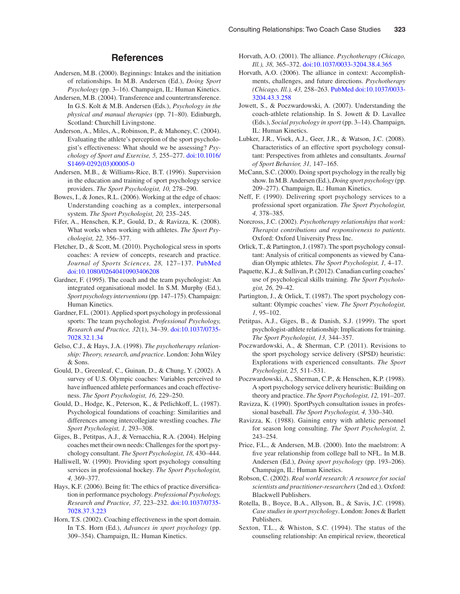# **References**

- Andersen, M.B. (2000). Beginnings: Intakes and the initiation of relationships. In M.B. Andersen (Ed.), *Doing Sport Psychology* (pp. 3–16). Champaign, IL: Human Kinetics.
- Andersen, M.B. (2004). Transference and countertransference. In G.S. Kolt & M.B. Andersen (Eds.), *Psychology in the physical and manual therapies* (pp. 71–80). Edinburgh, Scotland: Churchill Livingstone.
- Anderson, A., Miles, A., Robinson, P., & Mahoney, C. (2004). Evaluating the athlete's perception of the sport psychologist's effectiveness: What should we be assessing? *Psychology of Sport and Exercise, 5,* 255–277. [doi:10.1016/](http://dx.doi.org/10.1016/S1469-0292(03)00005-0) [S1469-0292\(03\)00005-0](http://dx.doi.org/10.1016/S1469-0292(03)00005-0)
- Andersen, M.B., & Williams-Rice, B.T. (1996). Supervision in the education and training of sport psychology service providers. *The Sport Psychologist, 10,* 278–290.
- Bowes, I., & Jones, R.L. (2006). Working at the edge of chaos: Understanding coaching as a complex, interpersonal system. *The Sport Psychologist, 20,* 235–245.
- Fifer, A., Henschen, K.P., Gould, D., & Ravizza, K. (2008). What works when working with athletes. *The Sport Psychologist, 22,* 356–377.
- Fletcher, D., & Scott, M. (2010). Psychological sress in sports coaches: A review of concepts, research and practice. *Journal of Sports Sciences, 28,* 127–137. [PubMed](http://www.ncbi.nlm.nih.gov/entrez/query.fcgi?cmd=Retrieve&db=PubMed&list_uids=20035490&dopt=Abstract) [doi:10.1080/02640410903406208](http://dx.doi.org/10.1080/02640410903406208)
- Gardner, F. (1995). The coach and the team psychologist: An integrated organisational model. In S.M. Murphy (Ed.), *Sport psychology interventions* (pp. 147–175). Champaign: Human Kinetics.
- Gardner, F.L. (2001). Applied sport psychology in professional sports: The team psychologist. *Professional Psychology, Research and Practice, 32*(1), 34–39. [doi:10.1037/0735-](http://dx.doi.org/10.1037/0735-7028.32.1.34) [7028.32.1.34](http://dx.doi.org/10.1037/0735-7028.32.1.34)
- Gelso, C.J., & Hays, J.A. (1998). *The psychotherapy relationship: Theory, research, and practice*. London: John Wiley & Sons.
- Gould, D., Greenleaf, C., Guinan, D., & Chung, Y. (2002). A survey of U.S. Olympic coaches: Variables perceived to have influenced athlete performances and coach effectiveness. *The Sport Psychologist, 16,* 229–250.
- Gould, D., Hodge, K., Peterson, K., & Petlichkoff, L. (1987). Psychological foundations of coaching: Similarities and differences among intercollegiate wrestling coaches. *The Sport Psychologist, 1,* 293–308.
- Giges, B., Petitpas, A.J., & Vernacchia, R.A. (2004). Helping coaches met their own needs: Challenges for the sport psychology consultant. *The Sport Psychologist, 18,* 430–444.
- Halliwell, W. (1990). Providing sport psychology consulting services in professional hockey. *The Sport Psychologist, 4,* 369–377.
- Hays, K.F. (2006). Being fit: The ethics of practice diversification in performance psychology. *Professional Psychology, Research and Practice, 37,* 223–232. [doi:10.1037/0735-](http://dx.doi.org/10.1037/0735-7028.37.3.223) [7028.37.3.223](http://dx.doi.org/10.1037/0735-7028.37.3.223)
- Horn, T.S. (2002). Coaching effectiveness in the sport domain. In T.S. Horn (Ed.), *Advances in sport psychology* (pp. 309–354). Champaign, IL: Human Kinetics.
- Horvath, A.O. (2001). The alliance. *Psychotherapy (Chicago, Ill.), 38,* 365–372. [doi:10.1037/0033-3204.38.4.365](http://dx.doi.org/10.1037/0033-3204.38.4.365)
- Horvath, A.O. (2006). The alliance in context: Accomplishments, challenges, and future directions. *Psychotherapy (Chicago, Ill.), 43,* 258–263. [PubMed](http://www.ncbi.nlm.nih.gov/entrez/query.fcgi?cmd=Retrieve&db=PubMed&list_uids=22122094&dopt=Abstract) [doi:10.1037/0033-](http://dx.doi.org/10.1037/0033-3204.43.3.258) [3204.43.3.258](http://dx.doi.org/10.1037/0033-3204.43.3.258)
- Jowett, S., & Poczwardowski, A. (2007). Understanding the coach-athlete relationship. In S. Jowett & D. Lavallee (Eds.), *Social psychology in sport* (pp. 3–14). Champaign, IL: Human Kinetics.
- Lubker, J.R., Visek, A.J., Geer, J.R., & Watson, J.C. (2008). Characteristics of an effective sport psychology consultant: Perspectives from athletes and consultants. *Journal of Sport Behavior, 31,* 147–165.
- McCann, S.C. (2000). Doing sport psychology in the really big show. In M.B. Andersen (Ed.), *Doing sport psychology* (pp. 209–277). Champaign, IL: Human Kinetics.
- Neff, F. (1990). Delivering sport psychology services to a professional sport organization. *The Sport Psychologist, 4,* 378–385.
- Norcross, J.C. (2002). *Psychotherapy relationships that work: Therapist contributions and responsiveness to patients*. Oxford: Oxford University Press Inc.
- Orlick, T., & Partington, J. (1987). The sport psychology consultant: Analysis of critical components as viewed by Canadian Olympic athletes. *The Sport Psychologist, 1,* 4–17.
- Paquette, K.J., & Sullivan, P. (2012). Canadian curling coaches' use of psychological skills training. *The Sport Psychologist, 26,* 29–42.
- Partington, J., & Orlick, T. (1987). The sport psychology consultant: Olympic coaches' view. *The Sport Psychologist, 1,* 95–102.
- Petitpas, A.J., Giges, B., & Danish, S.J. (1999). The sport psychologist-athlete relationship: Implications for training. *The Sport Psychologist, 13,* 344–357.
- Poczwardowski, A., & Sherman, C.P. (2011). Revisions to the sport psychology service delivery (SPSD) heuristic: Explorations with experienced consultants. *The Sport Psychologist, 25,* 511–531.
- Poczwardowski, A., Sherman, C.P., & Henschen, K.P. (1998). A sport psychology service delivery heuristic: Building on theory and practice. *The Sport Psychologist, 12,* 191–207.
- Ravizza, K. (1990). SportPsych consultation issues in professional baseball. *The Sport Psychologist, 4,* 330–340.
- Ravizza, K. (1988). Gaining entry with athletic personnel for season long consulting. *The Sport Psychologist, 2,* 243–254.
- Price, F.L., & Andersen, M.B. (2000). Into the maelstrom: A five year relationship from college ball to NFL. In M.B. Andersen (Ed.), *Doing sport psychology* (pp. 193–206). Champaign, IL: Human Kinetics.
- Robson, C. (2002). *Real world research: A resource for social scientists and practitioner-researchers* (2nd ed.). Oxford: Blackwell Publishers.
- Rotella, B., Boyce, B.A., Allyson, B., & Savis, J.C. (1998). *Case studies in sport psychology*. London: Jones & Barlett Publishers.
- Sexton, T.L., & Whiston, S.C. (1994). The status of the counseling relationship: An empirical review, theoretical